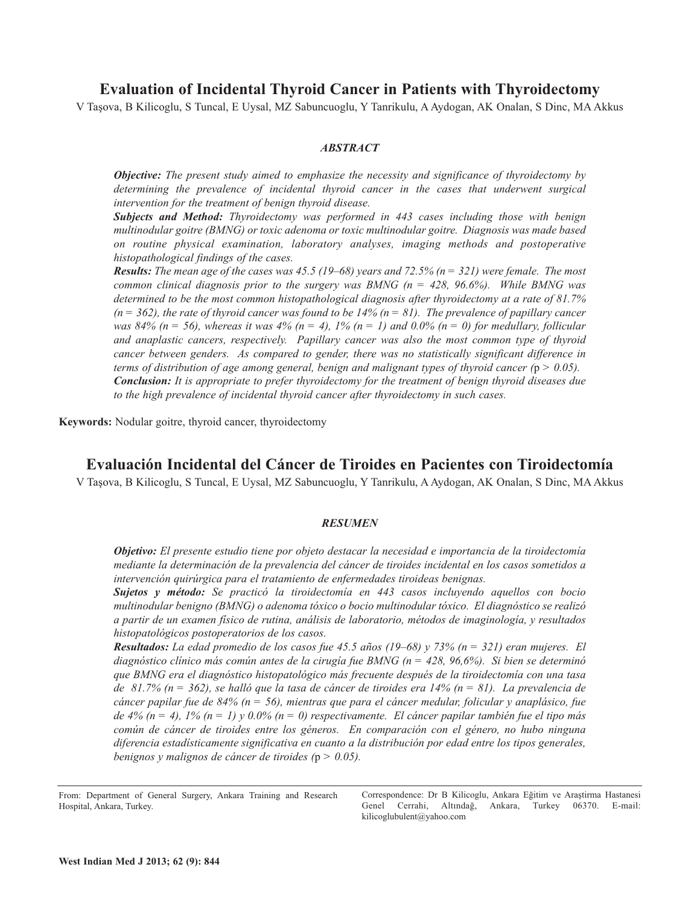**Evaluation of Incidental Thyroid Cancer in Patients with Thyroidectomy**

V Taşova, B Kilicoglu, S Tuncal, E Uysal, MZ Sabuncuoglu, Y Tanrikulu, A Aydogan, AK Onalan, S Dinc, MA Akkus

# *ABSTRACT*

*Objective: The present study aimed to emphasize the necessity and significance of thyroidectomy by determining the prevalence of incidental thyroid cancer in the cases that underwent surgical intervention for the treatment of benign thyroid disease.*

*Subjects and Method: Thyroidectomy was performed in 443 cases including those with benign multinodular goitre (BMNG) or toxic adenoma or toxic multinodular goitre. Diagnosis was made based on routine physical examination, laboratory analyses, imaging methods and postoperative histopathological findings of the cases.*

**Results:** The mean age of the cases was 45.5 (19–68) years and 72.5% ( $n = 321$ ) were female. The most *common clinical diagnosis prior to the surgery was BMNG (n = 428, 96.6%). While BMNG was determined to be the most common histopathological diagnosis after thyroidectomy at a rate of 81.7%*  $(n = 362)$ , the rate of thyroid cancer was found to be 14%  $(n = 81)$ . The prevalence of papillary cancer was 84% ( $n = 56$ ), whereas it was 4% ( $n = 4$ ), 1% ( $n = 1$ ) and 0.0% ( $n = 0$ ) for medullary, follicular *and anaplastic cancers, respectively. Papillary cancer was also the most common type of thyroid cancer between genders. As compared to gender, there was no statistically significant difference in terms of distribution of age among general, benign and malignant types of thyroid cancer (*p *> 0.05). Conclusion: It is appropriate to prefer thyroidectomy for the treatment of benign thyroid diseases due to the high prevalence of incidental thyroid cancer after thyroidectomy in such cases.*

**Keywords:** Nodular goitre, thyroid cancer, thyroidectomy

# **Evaluación Incidental del Cáncer de Tiroides en Pacientes con Tiroidectomía**

V Taşova, B Kilicoglu, S Tuncal, E Uysal, MZ Sabuncuoglu, Y Tanrikulu, A Aydogan, AK Onalan, S Dinc, MA Akkus

# *RESUMEN*

*Objetivo: El presente estudio tiene por objeto destacar la necesidad e importancia de la tiroidectomía mediante la determinación de la prevalencia del cáncer de tiroides incidental en los casos sometidos a intervención quirúrgica para el tratamiento de enfermedades tiroideas benignas.*

*Sujetos y método: Se practicó la tiroidectomía en 443 casos incluyendo aquellos con bocio multinodular benigno (BMNG) o adenoma tóxico o bocio multinodular tóxico. El diagnóstico se realizó a partir de un examen físico de rutina, análisis de laboratorio, métodos de imaginología, y resultados histopatológicos postoperatorios de los casos.*

**Resultados:** La edad promedio de los casos fue 45.5 años (19-68) y 73% ( $n = 321$ ) eran mujeres. El *diagnóstico clínico más común antes de la cirugía fue BMNG (n = 428, 96,6%). Si bien se determinó que BMNG era el diagnóstico histopatológico más frecuente después de la tiroidectomía con una tasa* de 81.7% (n = 362), se halló que la tasa de cáncer de tiroides era 14% (n = 81). La prevalencia de cáncer papilar fue de 84% ( $n = 56$ ), mientras que para el cáncer medular, folicular y anaplásico, fue de 4% (n = 4), 1% (n = 1) y 0.0% (n = 0) respectivamente. El cáncer papilar también fue el tipo más *común de cáncer de tiroides entre los géneros. En comparación con el género, no hubo ninguna diferencia estadísticamente significativa en cuanto a la distribución por edad entre los tipos generales, benignos y malignos de cáncer de tiroides (*p *> 0.05).*

Correspondence: Dr B Kilicoglu, Ankara Eğitim ve Araştirma Hastanesi Genel Cerrahi, Altındağ, Ankara, Turkey 06370. E-mail: kilicoglubulent@yahoo.com

From: Department of General Surgery, Ankara Training and Research Hospital, Ankara, Turkey.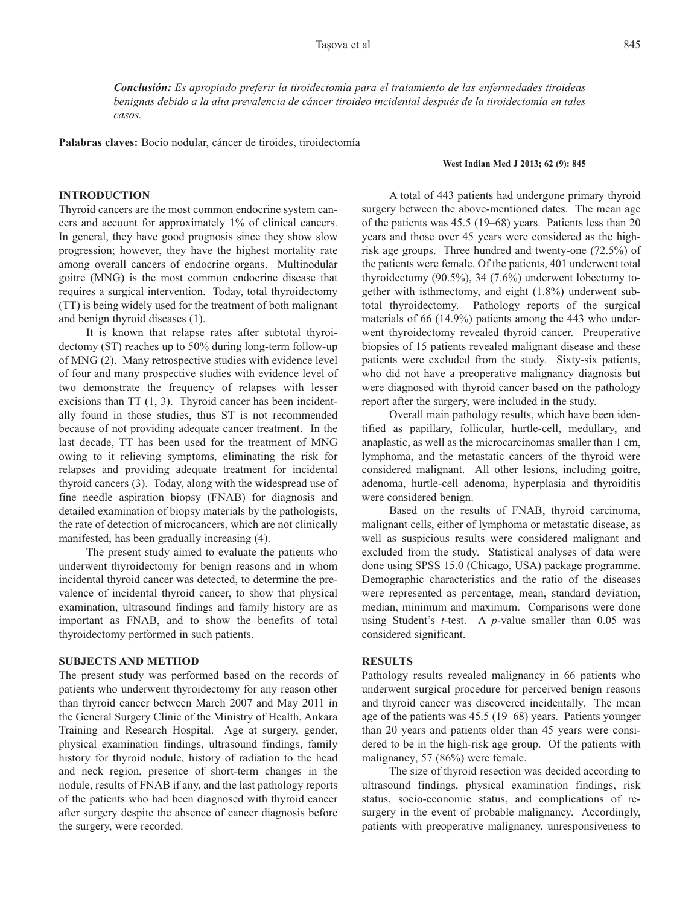*Conclusión: Es apropiado preferir la tiroidectomía para el tratamiento de las enfermedades tiroideas benignas debido a la alta prevalencia de cáncer tiroideo incidental después de la tiroidectomía en tales casos.*

**Palabras claves:** Bocio nodular, cáncer de tiroides, tiroidectomía

#### **West Indian Med J 2013; 62 (9): 845**

# **INTRODUCTION**

Thyroid cancers are the most common endocrine system cancers and account for approximately 1% of clinical cancers. In general, they have good prognosis since they show slow progression; however, they have the highest mortality rate among overall cancers of endocrine organs. Multinodular goitre (MNG) is the most common endocrine disease that requires a surgical intervention. Today, total thyroidectomy (TT) is being widely used for the treatment of both malignant and benign thyroid diseases (1).

It is known that relapse rates after subtotal thyroidectomy (ST) reaches up to 50% during long-term follow-up of MNG (2). Many retrospective studies with evidence level of four and many prospective studies with evidence level of two demonstrate the frequency of relapses with lesser excisions than TT (1, 3). Thyroid cancer has been incidentally found in those studies, thus ST is not recommended because of not providing adequate cancer treatment. In the last decade, TT has been used for the treatment of MNG owing to it relieving symptoms, eliminating the risk for relapses and providing adequate treatment for incidental thyroid cancers (3). Today, along with the widespread use of fine needle aspiration biopsy (FNAB) for diagnosis and detailed examination of biopsy materials by the pathologists, the rate of detection of microcancers, which are not clinically manifested, has been gradually increasing (4).

The present study aimed to evaluate the patients who underwent thyroidectomy for benign reasons and in whom incidental thyroid cancer was detected, to determine the prevalence of incidental thyroid cancer, to show that physical examination, ultrasound findings and family history are as important as FNAB, and to show the benefits of total thyroidectomy performed in such patients.

### **SUBJECTS AND METHOD**

The present study was performed based on the records of patients who underwent thyroidectomy for any reason other than thyroid cancer between March 2007 and May 2011 in the General Surgery Clinic of the Ministry of Health, Ankara Training and Research Hospital. Age at surgery, gender, physical examination findings, ultrasound findings, family history for thyroid nodule, history of radiation to the head and neck region, presence of short-term changes in the nodule, results of FNAB if any, and the last pathology reports of the patients who had been diagnosed with thyroid cancer after surgery despite the absence of cancer diagnosis before the surgery, were recorded.

A total of 443 patients had undergone primary thyroid surgery between the above-mentioned dates. The mean age of the patients was 45.5 (19–68) years. Patients less than 20 years and those over 45 years were considered as the highrisk age groups. Three hundred and twenty-one (72.5%) of the patients were female. Of the patients, 401 underwent total thyroidectomy (90.5%), 34 (7.6%) underwent lobectomy together with isthmectomy, and eight (1.8%) underwent subtotal thyroidectomy. Pathology reports of the surgical materials of 66 (14.9%) patients among the 443 who underwent thyroidectomy revealed thyroid cancer. Preoperative biopsies of 15 patients revealed malignant disease and these patients were excluded from the study. Sixty-six patients, who did not have a preoperative malignancy diagnosis but were diagnosed with thyroid cancer based on the pathology report after the surgery, were included in the study.

Overall main pathology results, which have been identified as papillary, follicular, hurtle-cell, medullary, and anaplastic, as well as the microcarcinomas smaller than 1 cm, lymphoma, and the metastatic cancers of the thyroid were considered malignant. All other lesions, including goitre, adenoma, hurtle-cell adenoma, hyperplasia and thyroiditis were considered benign.

Based on the results of FNAB, thyroid carcinoma, malignant cells, either of lymphoma or metastatic disease, as well as suspicious results were considered malignant and excluded from the study. Statistical analyses of data were done using SPSS 15.0 (Chicago, USA) package programme. Demographic characteristics and the ratio of the diseases were represented as percentage, mean, standard deviation, median, minimum and maximum. Comparisons were done using Student's *t*-test. A *p*-value smaller than 0.05 was considered significant.

# **RESULTS**

Pathology results revealed malignancy in 66 patients who underwent surgical procedure for perceived benign reasons and thyroid cancer was discovered incidentally. The mean age of the patients was 45.5 (19–68) years. Patients younger than 20 years and patients older than 45 years were considered to be in the high-risk age group. Of the patients with malignancy, 57 (86%) were female.

The size of thyroid resection was decided according to ultrasound findings, physical examination findings, risk status, socio-economic status, and complications of resurgery in the event of probable malignancy. Accordingly, patients with preoperative malignancy, unresponsiveness to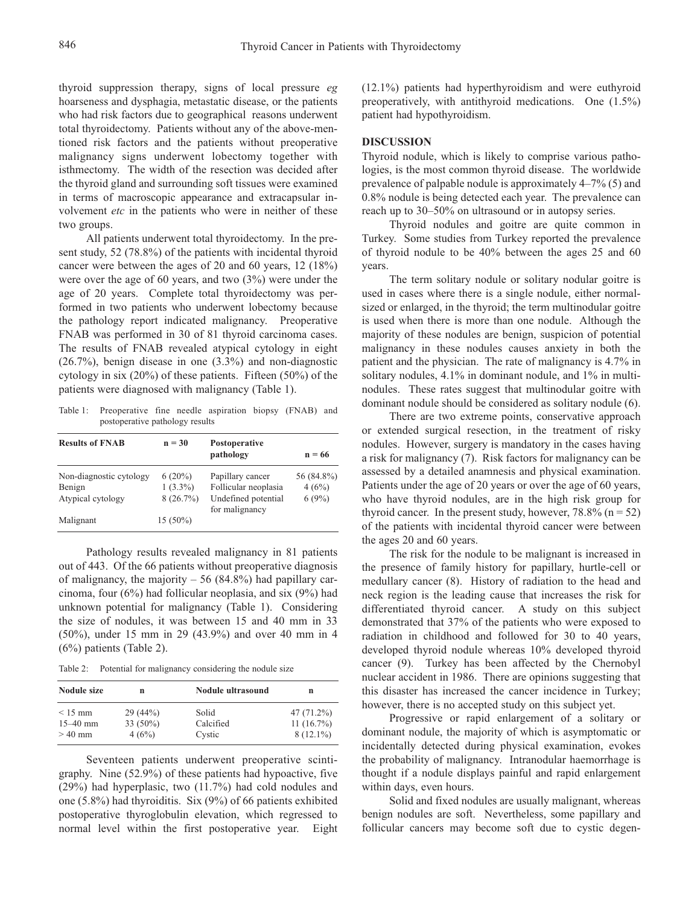thyroid suppression therapy, signs of local pressure *eg* hoarseness and dysphagia, metastatic disease, or the patients who had risk factors due to geographical reasons underwent total thyroidectomy. Patients without any of the above-mentioned risk factors and the patients without preoperative malignancy signs underwent lobectomy together with isthmectomy. The width of the resection was decided after the thyroid gland and surrounding soft tissues were examined in terms of macroscopic appearance and extracapsular involvement *etc* in the patients who were in neither of these two groups.

All patients underwent total thyroidectomy. In the present study, 52 (78.8%) of the patients with incidental thyroid cancer were between the ages of 20 and 60 years, 12 (18%) were over the age of 60 years, and two (3%) were under the age of 20 years. Complete total thyroidectomy was performed in two patients who underwent lobectomy because the pathology report indicated malignancy. Preoperative FNAB was performed in 30 of 81 thyroid carcinoma cases. The results of FNAB revealed atypical cytology in eight (26.7%), benign disease in one (3.3%) and non-diagnostic cytology in six (20%) of these patients. Fifteen (50%) of the patients were diagnosed with malignancy (Table 1).

Table 1: Preoperative fine needle aspiration biopsy (FNAB) and postoperative pathology results

| <b>Results of FNAB</b>  | $n = 30$    | Postoperative<br>pathology            | $n = 66$   |
|-------------------------|-------------|---------------------------------------|------------|
| Non-diagnostic cytology | $6(20\%)$   | Papillary cancer                      | 56 (84.8%) |
| Benign                  | $1(3.3\%)$  | Follicular neoplasia                  | 4(6%)      |
| Atypical cytology       | $8(26.7\%)$ | Undefined potential<br>for malignancy | 6(9%)      |
| Malignant               | $15(50\%)$  |                                       |            |

Pathology results revealed malignancy in 81 patients out of 443. Of the 66 patients without preoperative diagnosis of malignancy, the majority  $-56$  (84.8%) had papillary carcinoma, four (6%) had follicular neoplasia, and six (9%) had unknown potential for malignancy (Table 1). Considering the size of nodules, it was between 15 and 40 mm in 33 (50%), under 15 mm in 29 (43.9%) and over 40 mm in 4 (6%) patients (Table 2).

Table 2: Potential for malignancy considering the nodule size

| Nodule size  | n           | Nodule ultrasound | n             |
|--------------|-------------|-------------------|---------------|
| $<$ 15 mm    | 29(44%)     | Solid             | 47 $(71.2\%)$ |
| $15 - 40$ mm | 33 $(50\%)$ | Calcified         | $11(16.7\%)$  |
| $>40$ mm     | 4(6%)       | Cystic            | $8(12.1\%)$   |

Seventeen patients underwent preoperative scintigraphy. Nine (52.9%) of these patients had hypoactive, five (29%) had hyperplasic, two (11.7%) had cold nodules and one (5.8%) had thyroiditis. Six (9%) of 66 patients exhibited postoperative thyroglobulin elevation, which regressed to normal level within the first postoperative year. Eight (12.1%) patients had hyperthyroidism and were euthyroid preoperatively, with antithyroid medications. One (1.5%) patient had hypothyroidism.

### **DISCUSSION**

Thyroid nodule, which is likely to comprise various pathologies, is the most common thyroid disease. The worldwide prevalence of palpable nodule is approximately 4–7% (5) and 0.8% nodule is being detected each year. The prevalence can reach up to 30–50% on ultrasound or in autopsy series.

Thyroid nodules and goitre are quite common in Turkey. Some studies from Turkey reported the prevalence of thyroid nodule to be 40% between the ages 25 and 60 years.

The term solitary nodule or solitary nodular goitre is used in cases where there is a single nodule, either normalsized or enlarged, in the thyroid; the term multinodular goitre is used when there is more than one nodule. Although the majority of these nodules are benign, suspicion of potential malignancy in these nodules causes anxiety in both the patient and the physician. The rate of malignancy is 4.7% in solitary nodules, 4.1% in dominant nodule, and 1% in multinodules. These rates suggest that multinodular goitre with dominant nodule should be considered as solitary nodule (6).

There are two extreme points, conservative approach or extended surgical resection, in the treatment of risky nodules. However, surgery is mandatory in the cases having a risk for malignancy (7). Risk factors for malignancy can be assessed by a detailed anamnesis and physical examination. Patients under the age of 20 years or over the age of 60 years, who have thyroid nodules, are in the high risk group for thyroid cancer. In the present study, however,  $78.8\%$  (n = 52) of the patients with incidental thyroid cancer were between the ages 20 and 60 years.

The risk for the nodule to be malignant is increased in the presence of family history for papillary, hurtle-cell or medullary cancer (8). History of radiation to the head and neck region is the leading cause that increases the risk for differentiated thyroid cancer. A study on this subject demonstrated that 37% of the patients who were exposed to radiation in childhood and followed for 30 to 40 years, developed thyroid nodule whereas 10% developed thyroid cancer (9). Turkey has been affected by the Chernobyl nuclear accident in 1986. There are opinions suggesting that this disaster has increased the cancer incidence in Turkey; however, there is no accepted study on this subject yet.

Progressive or rapid enlargement of a solitary or dominant nodule, the majority of which is asymptomatic or incidentally detected during physical examination, evokes the probability of malignancy. Intranodular haemorrhage is thought if a nodule displays painful and rapid enlargement within days, even hours.

Solid and fixed nodules are usually malignant, whereas benign nodules are soft. Nevertheless, some papillary and follicular cancers may become soft due to cystic degen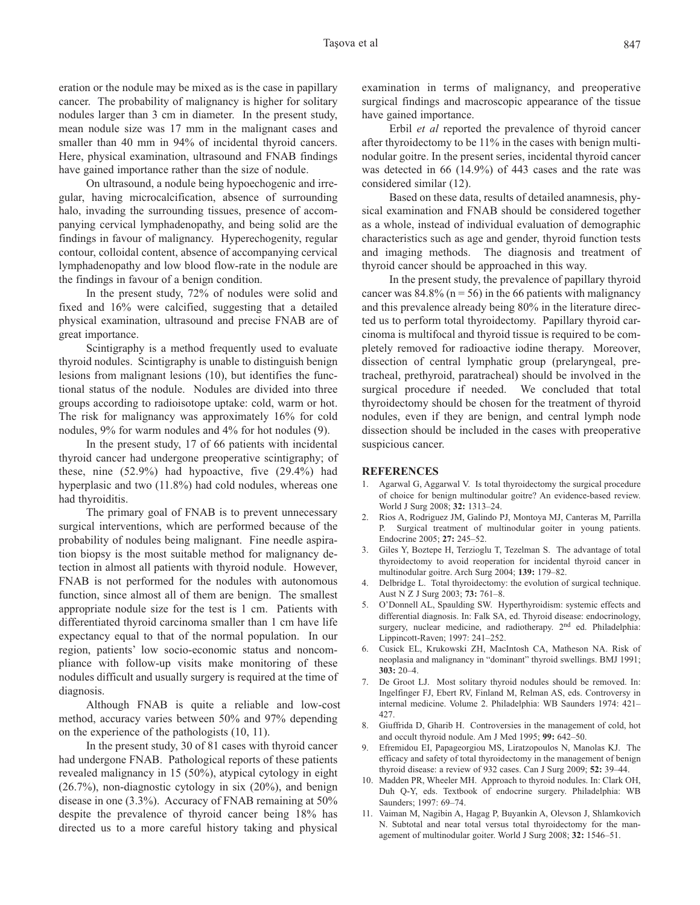eration or the nodule may be mixed as is the case in papillary cancer. The probability of malignancy is higher for solitary nodules larger than 3 cm in diameter. In the present study, mean nodule size was 17 mm in the malignant cases and smaller than 40 mm in 94% of incidental thyroid cancers. Here, physical examination, ultrasound and FNAB findings have gained importance rather than the size of nodule.

On ultrasound, a nodule being hypoechogenic and irregular, having microcalcification, absence of surrounding halo, invading the surrounding tissues, presence of accompanying cervical lymphadenopathy, and being solid are the findings in favour of malignancy. Hyperechogenity, regular contour, colloidal content, absence of accompanying cervical lymphadenopathy and low blood flow-rate in the nodule are the findings in favour of a benign condition.

In the present study, 72% of nodules were solid and fixed and 16% were calcified, suggesting that a detailed physical examination, ultrasound and precise FNAB are of great importance.

Scintigraphy is a method frequently used to evaluate thyroid nodules. Scintigraphy is unable to distinguish benign lesions from malignant lesions (10), but identifies the functional status of the nodule. Nodules are divided into three groups according to radioisotope uptake: cold, warm or hot. The risk for malignancy was approximately 16% for cold nodules, 9% for warm nodules and 4% for hot nodules (9).

In the present study, 17 of 66 patients with incidental thyroid cancer had undergone preoperative scintigraphy; of these, nine (52.9%) had hypoactive, five (29.4%) had hyperplasic and two (11.8%) had cold nodules, whereas one had thyroiditis.

The primary goal of FNAB is to prevent unnecessary surgical interventions, which are performed because of the probability of nodules being malignant. Fine needle aspiration biopsy is the most suitable method for malignancy detection in almost all patients with thyroid nodule. However, FNAB is not performed for the nodules with autonomous function, since almost all of them are benign. The smallest appropriate nodule size for the test is 1 cm. Patients with differentiated thyroid carcinoma smaller than 1 cm have life expectancy equal to that of the normal population. In our region, patients' low socio-economic status and noncompliance with follow-up visits make monitoring of these nodules difficult and usually surgery is required at the time of diagnosis.

Although FNAB is quite a reliable and low-cost method, accuracy varies between 50% and 97% depending on the experience of the pathologists (10, 11).

In the present study, 30 of 81 cases with thyroid cancer had undergone FNAB. Pathological reports of these patients revealed malignancy in 15 (50%), atypical cytology in eight (26.7%), non-diagnostic cytology in six (20%), and benign disease in one (3.3%). Accuracy of FNAB remaining at 50% despite the prevalence of thyroid cancer being 18% has directed us to a more careful history taking and physical examination in terms of malignancy, and preoperative surgical findings and macroscopic appearance of the tissue have gained importance.

Erbil *et al* reported the prevalence of thyroid cancer after thyroidectomy to be 11% in the cases with benign multinodular goitre. In the present series, incidental thyroid cancer was detected in 66 (14.9%) of 443 cases and the rate was considered similar (12).

Based on these data, results of detailed anamnesis, physical examination and FNAB should be considered together as a whole, instead of individual evaluation of demographic characteristics such as age and gender, thyroid function tests and imaging methods. The diagnosis and treatment of thyroid cancer should be approached in this way.

In the present study, the prevalence of papillary thyroid cancer was  $84.8\%$  (n = 56) in the 66 patients with malignancy and this prevalence already being 80% in the literature directed us to perform total thyroidectomy. Papillary thyroid carcinoma is multifocal and thyroid tissue is required to be completely removed for radioactive iodine therapy. Moreover, dissection of central lymphatic group (prelaryngeal, pretracheal, prethyroid, paratracheal) should be involved in the surgical procedure if needed. We concluded that total thyroidectomy should be chosen for the treatment of thyroid nodules, even if they are benign, and central lymph node dissection should be included in the cases with preoperative suspicious cancer.

### **REFERENCES**

- 1. Agarwal G, Aggarwal V. Is total thyroidectomy the surgical procedure of choice for benign multinodular goitre? An evidence-based review. World J Surg 2008; **32:** 1313–24.
- 2. Rios A, Rodriguez JM, Galindo PJ, Montoya MJ, Canteras M, Parrilla P. Surgical treatment of multinodular goiter in young patients. Endocrine 2005; **27:** 245–52.
- 3. Giles Y, Boztepe H, Terzioglu T, Tezelman S. The advantage of total thyroidectomy to avoid reoperation for incidental thyroid cancer in multinodular goitre. Arch Surg 2004; **139:** 179–82.
- 4. Delbridge L. Total thyroidectomy: the evolution of surgical technique. Aust N Z J Surg 2003; **73:** 761–8.
- 5. O'Donnell AL, Spaulding SW. Hyperthyroidism: systemic effects and differential diagnosis. In: Falk SA, ed. Thyroid disease: endocrinology, surgery, nuclear medicine, and radiotherapy. 2<sup>nd</sup> ed. Philadelphia: Lippincott-Raven; 1997: 241-252.
- 6. Cusick EL, Krukowski ZH, MacIntosh CA, Matheson NA. Risk of neoplasia and malignancy in "dominant" thyroid swellings. BMJ 1991; **303:** 20–4.
- 7. De Groot LJ. Most solitary thyroid nodules should be removed. In: Ingelfinger FJ, Ebert RV, Finland M, Relman AS, eds. Controversy in internal medicine. Volume 2. Philadelphia: WB Saunders 1974: 421– 427.
- 8. Giuffrida D, Gharib H. Controversies in the management of cold, hot and occult thyroid nodule. Am J Med 1995; **99:** 642–50.
- 9. Efremidou EI, Papageorgiou MS, Liratzopoulos N, Manolas KJ. The efficacy and safety of total thyroidectomy in the management of benign thyroid disease: a review of 932 cases. Can J Surg 2009; **52:** 39–44.
- 10. Madden PR, Wheeler MH. Approach to thyroid nodules. In: Clark OH, Duh Q-Y, eds. Textbook of endocrine surgery. Philadelphia: WB Saunders; 1997: 69–74.
- 11. Vaiman M, Nagibin A, Hagag P, Buyankin A, Olevson J, Shlamkovich N. Subtotal and near total versus total thyroidectomy for the management of multinodular goiter. World J Surg 2008; **32:** 1546–51.